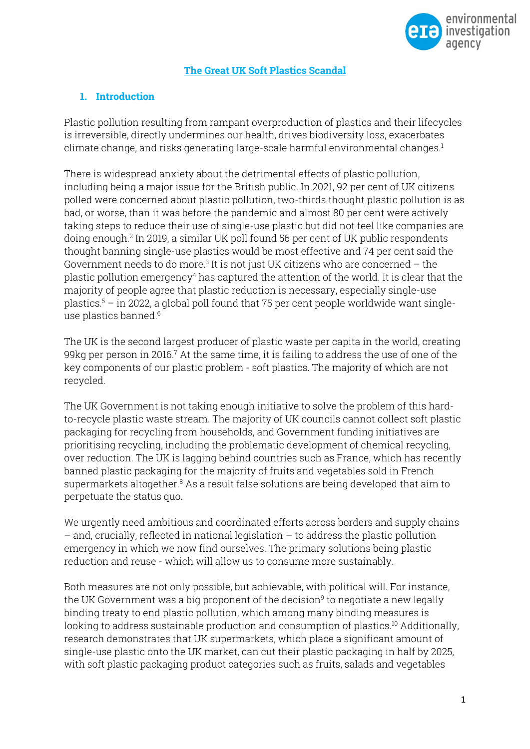

### **The Great UK Soft Plastics Scandal**

## **1. Introduction**

Plastic pollution resulting from rampant overproduction of plastics and their lifecycles is irreversible, directly undermines our health, drives biodiversity loss, exacerbates climate change, and risks generating large-scale harmful environmental changes. 1

There is widespread anxiety about the detrimental effects of plastic pollution, including being a major issue for the British public. In 2021, 92 per cent of UK citizens polled were concerned about plastic pollution, two-thirds thought plastic pollution is as bad, or worse, than it was before the pandemic and almost 80 per cent were actively taking steps to reduce their use of single-use plastic but did not feel like companies are doing enough.<sup>2</sup> In 2019, a similar UK poll found 56 per cent of UK public respondents thought banning single-use plastics would be most effective and 74 per cent said the Government needs to do more. $3$  It is not just UK citizens who are concerned  $-$  the plastic pollution emergency<sup>4</sup> has captured the attention of the world. It is clear that the majority of people agree that plastic reduction is necessary, especially single-use plastics. <sup>5</sup> – in 2022, a global poll found that 75 per cent people worldwide want singleuse plastics banned. 6

The UK is the second largest producer of plastic waste per capita in the world, creating 99 $kg$  per person in 2016. $7$  At the same time, it is failing to address the use of one of the key components of our plastic problem - soft plastics. The majority of which are not recycled.

The UK Government is not taking enough initiative to solve the problem of this hardto-recycle plastic waste stream. The majority of UK councils cannot collect soft plastic packaging for recycling from households, and Government funding initiatives are prioritising recycling, including the problematic development of chemical recycling, over reduction. The UK is lagging behind countries such as France, which has recently banned plastic packaging for the majority of fruits and vegetables sold in French supermarkets altogether.<sup>8</sup> As a result false solutions are being developed that aim to perpetuate the status quo.

We urgently need ambitious and coordinated efforts across borders and supply chains – and, crucially, reflected in national legislation – to address the plastic pollution emergency in which we now find ourselves. The primary solutions being plastic reduction and reuse - which will allow us to consume more sustainably.

Both measures are not only possible, but achievable, with political will. For instance, the UK Government was a big proponent of the decision $^9$  to negotiate a new legally binding treaty to end plastic pollution, which among many binding measures is looking to address sustainable production and consumption of plastics.<sup>10</sup> Additionally, research demonstrates that UK supermarkets, which place a significant amount of single-use plastic onto the UK market, can cut their plastic packaging in half by 2025, with soft plastic packaging product categories such as fruits, salads and vegetables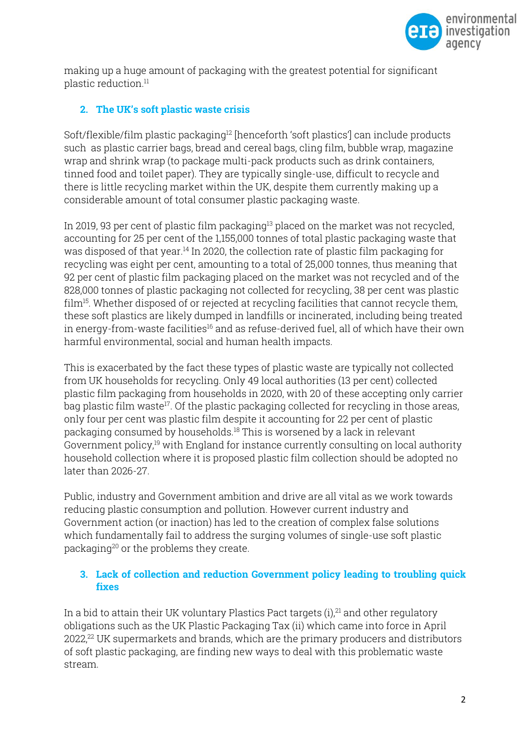

making up a huge amount of packaging with the greatest potential for significant plastic reduction.<sup>11</sup>

## **2. The UK's soft plastic waste crisis**

Soft/flexible/film plastic packaging<sup>12</sup> [henceforth 'soft plastics'] can include products such as plastic carrier bags, bread and cereal bags, cling film, bubble wrap, magazine wrap and shrink wrap (to package multi-pack products such as drink containers, tinned food and toilet paper). They are typically single-use, difficult to recycle and there is little recycling market within the UK, despite them currently making up a considerable amount of total consumer plastic packaging waste.

In 2019, 93 per cent of plastic film packaging<sup>13</sup> placed on the market was not recycled, accounting for 25 per cent of the 1,155,000 tonnes of total plastic packaging waste that was disposed of that year.<sup>14</sup> In 2020, the collection rate of plastic film packaging for recycling was eight per cent, amounting to a total of 25,000 tonnes, thus meaning that 92 per cent of plastic film packaging placed on the market was not recycled and of the 828,000 tonnes of plastic packaging not collected for recycling, 38 per cent was plastic  $\dim^{15}$ . Whether disposed of or rejected at recycling facilities that cannot recycle them, these soft plastics are likely dumped in landfills or incinerated, including being treated in energy-from-waste facilities<sup>16</sup> and as refuse-derived fuel, all of which have their own harmful environmental, social and human health impacts.

This is exacerbated by the fact these types of plastic waste are typically not collected from UK households for recycling. Only 49 local authorities (13 per cent) collected plastic film packaging from households in 2020, with 20 of these accepting only carrier bag plastic film waste<sup>17</sup>. Of the plastic packaging collected for recycling in those areas, only four per cent was plastic film despite it accounting for 22 per cent of plastic packaging consumed by households.<sup>18</sup> This is worsened by a lack in relevant Government policy,<sup>19</sup> with England for instance currently consulting on local authority household collection where it is proposed plastic film collection should be adopted no later than 2026-27.

Public, industry and Government ambition and drive are all vital as we work towards reducing plastic consumption and pollution. However current industry and Government action (or inaction) has led to the creation of complex false solutions which fundamentally fail to address the surging volumes of single-use soft plastic packaging<sup>20</sup> or the problems they create.

## **3. Lack of collection and reduction Government policy leading to troubling quick fixes**

In a bid to attain their UK voluntary Plastics Pact targets (i), <sup>21</sup> and other regulatory obligations such as the UK Plastic Packaging Tax (ii) which came into force in April 2022, <sup>22</sup> UK supermarkets and brands, which are the primary producers and distributors of soft plastic packaging, are finding new ways to deal with this problematic waste stream.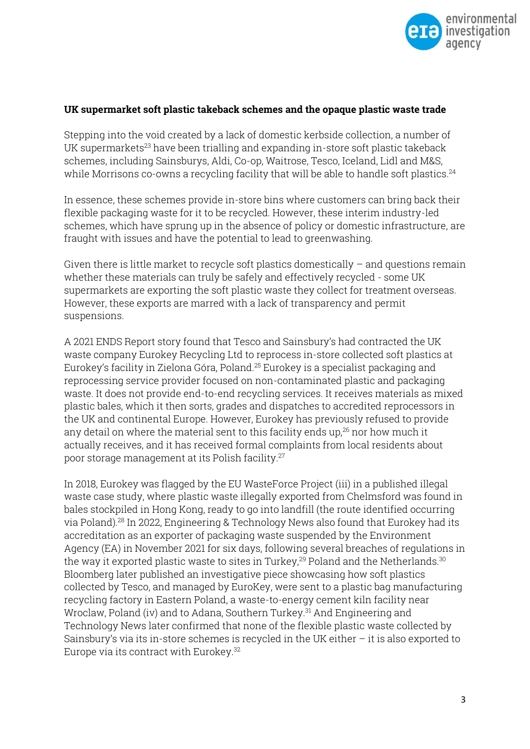

#### **UK supermarket soft plastic takeback schemes and the opaque plastic waste trade**

Stepping into the void created by a lack of domestic kerbside collection, a number of UK supermarkets<sup>23</sup> have been trialling and expanding in-store soft plastic takeback schemes, including Sainsburys, Aldi, Co-op, Waitrose, Tesco, Iceland, Lidl and M&S, while Morrisons co-owns a recycling facility that will be able to handle soft plastics. 24

In essence, these schemes provide in-store bins where customers can bring back their flexible packaging waste for it to be recycled. However, these interim industry-led schemes, which have sprung up in the absence of policy or domestic infrastructure, are fraught with issues and have the potential to lead to greenwashing.

Given there is little market to recycle soft plastics domestically – and questions remain whether these materials can truly be safely and effectively recycled - some UK supermarkets are exporting the soft plastic waste they collect for treatment overseas. However, these exports are marred with a lack of transparency and permit suspensions.

A 2021 ENDS Report story found that Tesco and Sainsbury's had contracted the UK waste company Eurokey Recycling Ltd to reprocess in-store collected soft plastics at Eurokey's facility in Zielona Góra, Poland.<sup>25</sup> Eurokey is a specialist packaging and reprocessing service provider focused on non-contaminated plastic and packaging waste. It does not provide end-to-end recycling services. It receives materials as mixed plastic bales, which it then sorts, grades and dispatches to accredited reprocessors in the UK and continental Europe. However, Eurokey has previously refused to provide any detail on where the material sent to this facility ends up, $26$  nor how much it actually receives, and it has received formal complaints from local residents about poor storage management at its Polish facility. 27

In 2018, Eurokey was flagged by the EU WasteForce Project (iii) in a published illegal waste case study, where plastic waste illegally exported from Chelmsford was found in bales stockpiled in Hong Kong, ready to go into landfill (the route identified occurring via Poland).<sup>28</sup> In 2022, Engineering & Technology News also found that Eurokey had its accreditation as an exporter of packaging waste suspended by the Environment Agency (EA) in November 2021 for six days, following several breaches of regulations in the way it exported plastic waste to sites in Turkey.<sup>29</sup> Poland and the Netherlands.<sup>30</sup> Bloomberg later published an investigative piece showcasing how soft plastics collected by Tesco, and managed by EuroKey, were sent to a plastic bag manufacturing recycling factory in Eastern Poland, a waste-to-energy cement kiln facility near Wroclaw, Poland (iv) and to Adana, Southern Turkey.<sup>31</sup> And Engineering and Technology News later confirmed that none of the flexible plastic waste collected by Sainsbury's via its in-store schemes is recycled in the UK either – it is also exported to Europe via its contract with Eurokey. 32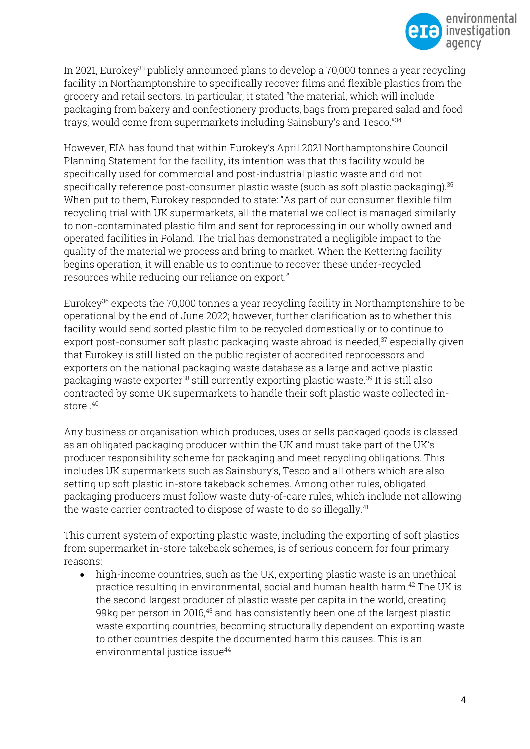

In 2021, Eurokey<sup>33</sup> publicly announced plans to develop a  $70,000$  tonnes a year recycling facility in Northamptonshire to specifically recover films and flexible plastics from the grocery and retail sectors. In particular, it stated "the material, which will include packaging from bakery and confectionery products, bags from prepared salad and food trays, would come from supermarkets including Sainsbury's and Tesco."<sup>34</sup>

However, EIA has found that within Eurokey's April 2021 Northamptonshire Council Planning Statement for the facility, its intention was that this facility would be specifically used for commercial and post-industrial plastic waste and did not specifically reference post-consumer plastic waste (such as soft plastic packaging).<sup>35</sup> When put to them, Eurokey responded to state: "As part of our consumer flexible film recycling trial with UK supermarkets, all the material we collect is managed similarly to non-contaminated plastic film and sent for reprocessing in our wholly owned and operated facilities in Poland. The trial has demonstrated a negligible impact to the quality of the material we process and bring to market. When the Kettering facility begins operation, it will enable us to continue to recover these under-recycled resources while reducing our reliance on export."

Eurokey<sup>36</sup> expects the 70,000 tonnes a year recycling facility in Northamptonshire to be operational by the end of June 2022; however, further clarification as to whether this facility would send sorted plastic film to be recycled domestically or to continue to export post-consumer soft plastic packaging waste abroad is needed, <sup>37</sup> especially given that Eurokey is still listed on the public register of accredited reprocessors and exporters on the national packaging waste database as a large and active plastic packaging waste exporter<sup>38</sup> still currently exporting plastic waste.<sup>39</sup> It is still also contracted by some UK supermarkets to handle their soft plastic waste collected instore . 40

Any business or organisation which produces, uses or sells packaged goods is classed as an obligated packaging producer within the UK and must take part of the UK's producer responsibility scheme for packaging and meet recycling obligations. This includes UK supermarkets such as Sainsbury's, Tesco and all others which are also setting up soft plastic in-store takeback schemes. Among other rules, obligated packaging producers must follow waste duty-of-care rules, which include not allowing the waste carrier contracted to dispose of waste to do so illegally. 41

This current system of exporting plastic waste, including the exporting of soft plastics from supermarket in-store takeback schemes, is of serious concern for four primary reasons:

• high-income countries, such as the UK, exporting plastic waste is an unethical practice resulting in environmental, social and human health harm.<sup>42</sup> The UK is the second largest producer of plastic waste per capita in the world, creating 99kg per person in 2016, <sup>43</sup> and has consistently been one of the largest plastic waste exporting countries, becoming structurally dependent on exporting waste to other countries despite the documented harm this causes. This is an environmental justice issue<sup>44</sup>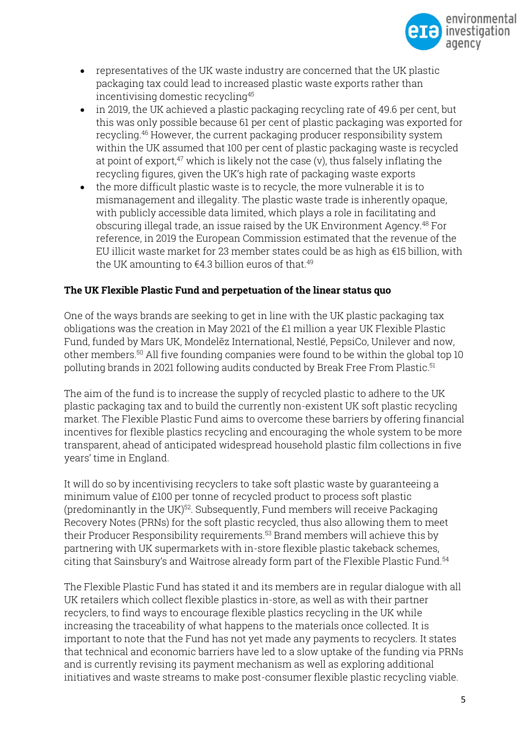

- representatives of the UK waste industry are concerned that the UK plastic packaging tax could lead to increased plastic waste exports rather than incentivising domestic recycling<sup>45</sup>
- in 2019, the UK achieved a plastic packaging recycling rate of 49.6 per cent, but this was only possible because 61 per cent of plastic packaging was exported for recycling.<sup>46</sup> However, the current packaging producer responsibility system within the UK assumed that 100 per cent of plastic packaging waste is recycled at point of export, $47$  which is likely not the case (v), thus falsely inflating the recycling figures, given the UK's high rate of packaging waste exports
- the more difficult plastic waste is to recycle, the more vulnerable it is to mismanagement and illegality. The plastic waste trade is inherently opaque, with publicly accessible data limited, which plays a role in facilitating and obscuring illegal trade, an issue raised by the UK Environment Agency.<sup>48</sup> For reference, in 2019 the European Commission estimated that the revenue of the EU illicit waste market for 23 member states could be as high as €15 billion, with the UK amounting to €4.3 billion euros of that. 49

## **The UK Flexible Plastic Fund and perpetuation of the linear status quo**

One of the ways brands are seeking to get in line with the UK plastic packaging tax obligations was the creation in May 2021 of the £1 million a year UK Flexible Plastic Fund, funded by Mars UK, Mondelēz International, Nestlé, PepsiCo, Unilever and now, other members. <sup>50</sup> All five founding companies were found to be within the global top 10 polluting brands in 2021 following audits conducted by Break Free From Plastic.<sup>51</sup>

The aim of the fund is to increase the supply of recycled plastic to adhere to the UK plastic packaging tax and to build the currently non-existent UK soft plastic recycling market. The Flexible Plastic Fund aims to overcome these barriers by offering financial incentives for flexible plastics recycling and encouraging the whole system to be more transparent, ahead of anticipated widespread household plastic film collections in five years' time in England.

It will do so by incentivising recyclers to take soft plastic waste by guaranteeing a minimum value of £100 per tonne of recycled product to process soft plastic (predominantly in the UK) $52$ . Subsequently, Fund members will receive Packaging Recovery Notes (PRNs) for the soft plastic recycled, thus also allowing them to meet their Producer Responsibility requirements. <sup>53</sup> Brand members will achieve this by partnering with UK supermarkets with in-store flexible plastic takeback schemes, citing that Sainsbury's and Waitrose already form part of the Flexible Plastic Fund.<sup>54</sup>

The Flexible Plastic Fund has stated it and its members are in regular dialogue with all UK retailers which collect flexible plastics in-store, as well as with their partner recyclers, to find ways to encourage flexible plastics recycling in the UK while increasing the traceability of what happens to the materials once collected. It is important to note that the Fund has not yet made any payments to recyclers. It states that technical and economic barriers have led to a slow uptake of the funding via PRNs and is currently revising its payment mechanism as well as exploring additional initiatives and waste streams to make post-consumer flexible plastic recycling viable.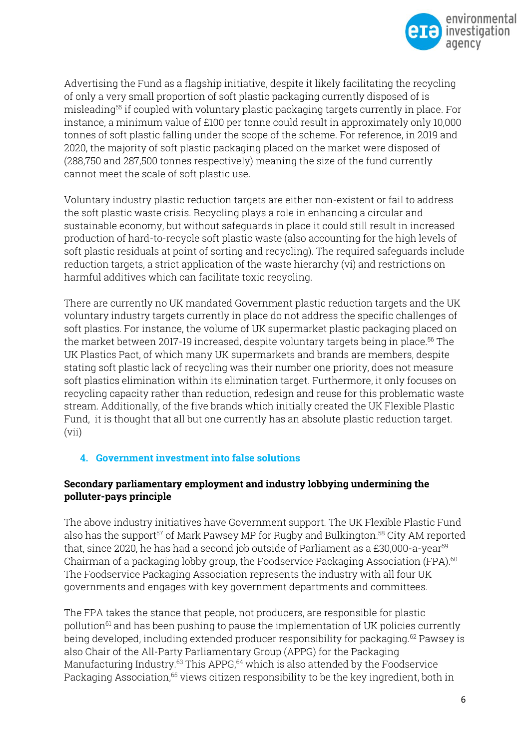

Advertising the Fund as a flagship initiative, despite it likely facilitating the recycling of only a very small proportion of soft plastic packaging currently disposed of is misleading<sup>55</sup> if coupled with voluntary plastic packaging targets currently in place. For instance, a minimum value of £100 per tonne could result in approximately only 10,000 tonnes of soft plastic falling under the scope of the scheme. For reference, in 2019 and 2020, the majority of soft plastic packaging placed on the market were disposed of (288,750 and 287,500 tonnes respectively) meaning the size of the fund currently cannot meet the scale of soft plastic use.

Voluntary industry plastic reduction targets are either non-existent or fail to address the soft plastic waste crisis. Recycling plays a role in enhancing a circular and sustainable economy, but without safeguards in place it could still result in increased production of hard-to-recycle soft plastic waste (also accounting for the high levels of soft plastic residuals at point of sorting and recycling). The required safeguards include reduction targets, a strict application of the waste hierarchy (vi) and restrictions on harmful additives which can facilitate toxic recycling.

There are currently no UK mandated Government plastic reduction targets and the UK voluntary industry targets currently in place do not address the specific challenges of soft plastics. For instance, the volume of UK supermarket plastic packaging placed on the market between 2017-19 increased, despite voluntary targets being in place.<sup>56</sup> The UK Plastics Pact, of which many UK supermarkets and brands are members, despite stating soft plastic lack of recycling was their number one priority, does not measure soft plastics elimination within its elimination target. Furthermore, it only focuses on recycling capacity rather than reduction, redesign and reuse for this problematic waste stream. Additionally, of the five brands which initially created the UK Flexible Plastic Fund, it is thought that all but one currently has an absolute plastic reduction target. (vii)

## **4. Government investment into false solutions**

## **Secondary parliamentary employment and industry lobbying undermining the polluter-pays principle**

The above industry initiatives have Government support. The UK Flexible Plastic Fund also has the support<sup>57</sup> of Mark Pawsey MP for Rugby and Bulkington.<sup>58</sup> City AM reported that, since 2020, he has had a second job outside of Parliament as a  $£30,000$ -a-year<sup>59</sup> Chairman of a packaging lobby group, the Foodservice Packaging Association (FPA). 60 The Foodservice Packaging Association represents the industry with all four UK governments and engages with key government departments and committees.

The FPA takes the stance that people, not producers, are responsible for plastic pollution<sup>61</sup> and has been pushing to pause the implementation of UK policies currently being developed, including extended producer responsibility for packaging. <sup>62</sup> Pawsey is also Chair of the All-Party Parliamentary Group (APPG) for the Packaging Manufacturing Industry. <sup>63</sup> This APPG, <sup>64</sup> which is also attended by the Foodservice Packaging Association,<sup>65</sup> views citizen responsibility to be the key ingredient, both in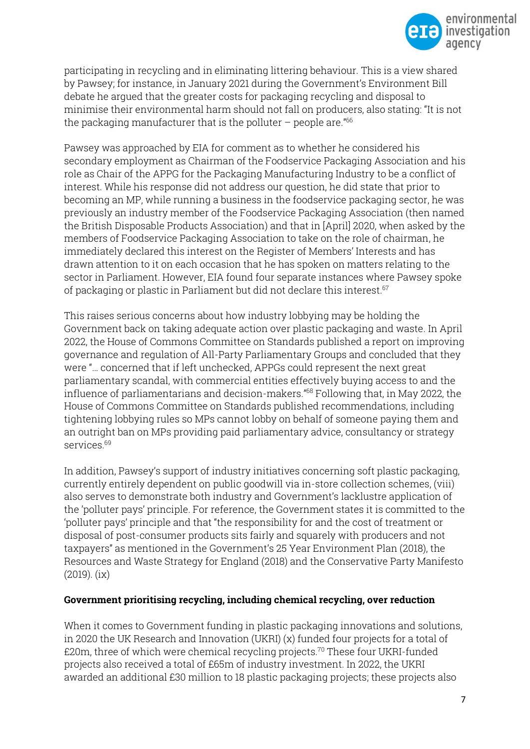

participating in recycling and in eliminating littering behaviour. This is a view shared by Pawsey; for instance, in January 2021 during the Government's Environment Bill debate he argued that the greater costs for packaging recycling and disposal to minimise their environmental harm should not fall on producers, also stating: "It is not the packaging manufacturer that is the polluter  $-$  people are." $66$ 

Pawsey was approached by EIA for comment as to whether he considered his secondary employment as Chairman of the Foodservice Packaging Association and his role as Chair of the APPG for the Packaging Manufacturing Industry to be a conflict of interest. While his response did not address our question, he did state that prior to becoming an MP, while running a business in the foodservice packaging sector, he was previously an industry member of the Foodservice Packaging Association (then named the British Disposable Products Association) and that in [April] 2020, when asked by the members of Foodservice Packaging Association to take on the role of chairman, he immediately declared this interest on the Register of Members' Interests and has drawn attention to it on each occasion that he has spoken on matters relating to the sector in Parliament. However, EIA found four separate instances where Pawsey spoke of packaging or plastic in Parliament but did not declare this interest. 67

This raises serious concerns about how industry lobbying may be holding the Government back on taking adequate action over plastic packaging and waste. In April 2022, the House of Commons Committee on Standards published a report on improving governance and regulation of All-Party Parliamentary Groups and concluded that they were "… concerned that if left unchecked, APPGs could represent the next great parliamentary scandal, with commercial entities effectively buying access to and the influence of parliamentarians and decision-makers." <sup>68</sup> Following that, in May 2022, the House of Commons Committee on Standards published recommendations, including tightening lobbying rules so MPs cannot lobby on behalf of someone paying them and an outright ban on MPs providing paid parliamentary advice, consultancy or strategy services.<sup>69</sup>

In addition, Pawsey's support of industry initiatives concerning soft plastic packaging, currently entirely dependent on public goodwill via in-store collection schemes, (viii) also serves to demonstrate both industry and Government's lacklustre application of the 'polluter pays' principle. For reference, the Government states it is committed to the 'polluter pays' principle and that "the responsibility for and the cost of treatment or disposal of post-consumer products sits fairly and squarely with producers and not taxpayers" as mentioned in the Government's 25 Year Environment Plan (2018), the Resources and Waste Strategy for England (2018) and the Conservative Party Manifesto (2019). (ix)

### **Government prioritising recycling, including chemical recycling, over reduction**

When it comes to Government funding in plastic packaging innovations and solutions, in 2020 the UK Research and Innovation (UKRI) (x) funded four projects for a total of  $£20m$ , three of which were chemical recycling projects.<sup>70</sup> These four UKRI-funded projects also received a total of £65m of industry investment. In 2022, the UKRI awarded an additional £30 million to 18 plastic packaging projects; these projects also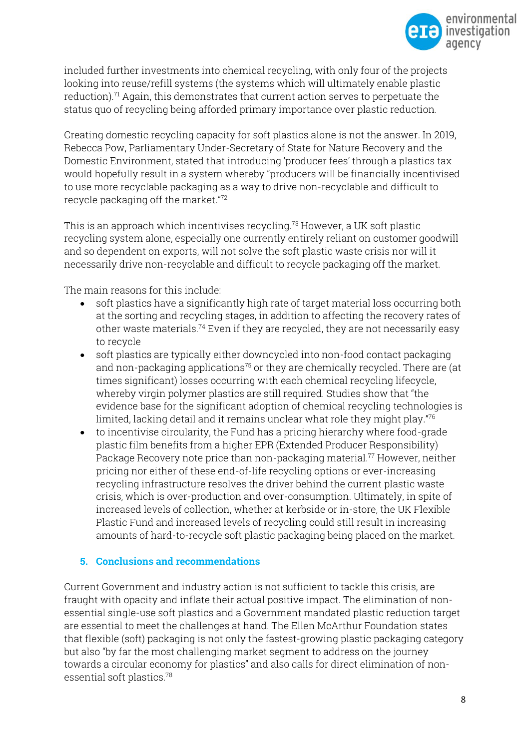

included further investments into chemical recycling, with only four of the projects looking into reuse/refill systems (the systems which will ultimately enable plastic reduction).<sup>71</sup> Again, this demonstrates that current action serves to perpetuate the status quo of recycling being afforded primary importance over plastic reduction.

Creating domestic recycling capacity for soft plastics alone is not the answer. In 2019, Rebecca Pow, Parliamentary Under-Secretary of State for Nature Recovery and the Domestic Environment, stated that introducing 'producer fees' through a plastics tax would hopefully result in a system whereby "producers will be financially incentivised to use more recyclable packaging as a way to drive non-recyclable and difficult to recycle packaging off the market." 72

This is an approach which incentivises recycling.<sup>73</sup> However, a UK soft plastic recycling system alone, especially one currently entirely reliant on customer goodwill and so dependent on exports, will not solve the soft plastic waste crisis nor will it necessarily drive non-recyclable and difficult to recycle packaging off the market.

The main reasons for this include:

- soft plastics have a significantly high rate of target material loss occurring both at the sorting and recycling stages, in addition to affecting the recovery rates of other waste materials.<sup>74</sup> Even if they are recycled, they are not necessarily easy to recycle
- soft plastics are typically either downcycled into non-food contact packaging and non-packaging applications<sup>75</sup> or they are chemically recycled. There are (at times significant) losses occurring with each chemical recycling lifecycle, whereby virgin polymer plastics are still required. Studies show that "the evidence base for the significant adoption of chemical recycling technologies is limited, lacking detail and it remains unclear what role they might play." 76
- to incentivise circularity, the Fund has a pricing hierarchy where food-grade plastic film benefits from a higher EPR (Extended Producer Responsibility) Package Recovery note price than non-packaging material.<sup>77</sup> However, neither pricing nor either of these end-of-life recycling options or ever-increasing recycling infrastructure resolves the driver behind the current plastic waste crisis, which is over-production and over-consumption. Ultimately, in spite of increased levels of collection, whether at kerbside or in-store, the UK Flexible Plastic Fund and increased levels of recycling could still result in increasing amounts of hard-to-recycle soft plastic packaging being placed on the market.

### **5. Conclusions and recommendations**

Current Government and industry action is not sufficient to tackle this crisis, are fraught with opacity and inflate their actual positive impact. The elimination of nonessential single-use soft plastics and a Government mandated plastic reduction target are essential to meet the challenges at hand. The Ellen McArthur Foundation states that flexible (soft) packaging is not only the fastest-growing plastic packaging category but also "by far the most challenging market segment to address on the journey towards a circular economy for plastics" and also calls for direct elimination of nonessential soft plastics.78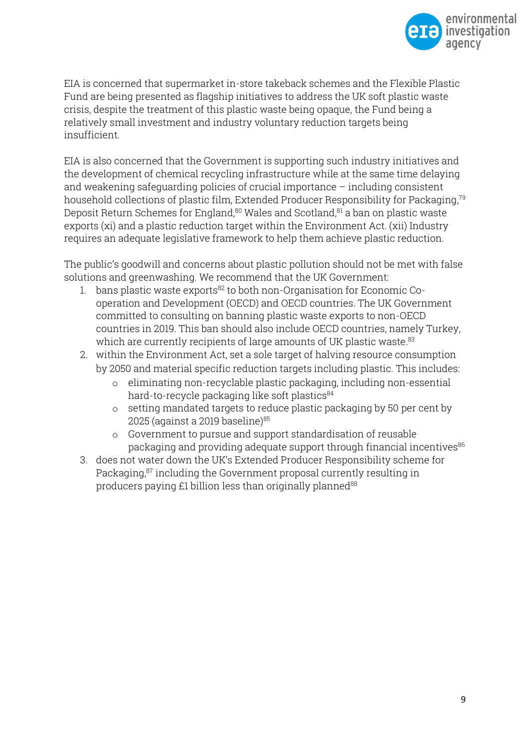

EIA is concerned that supermarket in-store takeback schemes and the Flexible Plastic Fund are being presented as flagship initiatives to address the UK soft plastic waste crisis, despite the treatment of this plastic waste being opaque, the Fund being a relatively small investment and industry voluntary reduction targets being insufficient.

EIA is also concerned that the Government is supporting such industry initiatives and the development of chemical recycling infrastructure while at the same time delaying and weakening safeguarding policies of crucial importance – including consistent household collections of plastic film, Extended Producer Responsibility for Packaging, 79 Deposit Return Schemes for England,<sup>80</sup> Wales and Scotland,<sup>81</sup> a ban on plastic waste exports (xi) and a plastic reduction target within the Environment Act. (xii) Industry requires an adequate legislative framework to help them achieve plastic reduction.

The public's goodwill and concerns about plastic pollution should not be met with false solutions and greenwashing. We recommend that the UK Government:

- 1. bans plastic waste exports $82$  to both non-Organisation for Economic Cooperation and Development (OECD) and OECD countries. The UK Government committed to consulting on banning plastic waste exports to non-OECD countries in 2019. This ban should also include OECD countries, namely Turkey, which are currently recipients of large amounts of UK plastic waste. 83
- 2. within the Environment Act, set a sole target of halving resource consumption by 2050 and material specific reduction targets including plastic. This includes:
	- o eliminating non-recyclable plastic packaging, including non-essential hard-to-recycle packaging like soft plastics 84
	- o setting mandated targets to reduce plastic packaging by 50 per cent by 2025 (against a 2019 baseline) $85$
	- o Government to pursue and support standardisation of reusable packaging and providing adequate support through financial incentives<sup>86</sup>
- 3. does not water down the UK's Extended Producer Responsibility scheme for Packaging, <sup>87</sup> including the Government proposal currently resulting in producers paying £1 billion less than originally planned<sup>88</sup>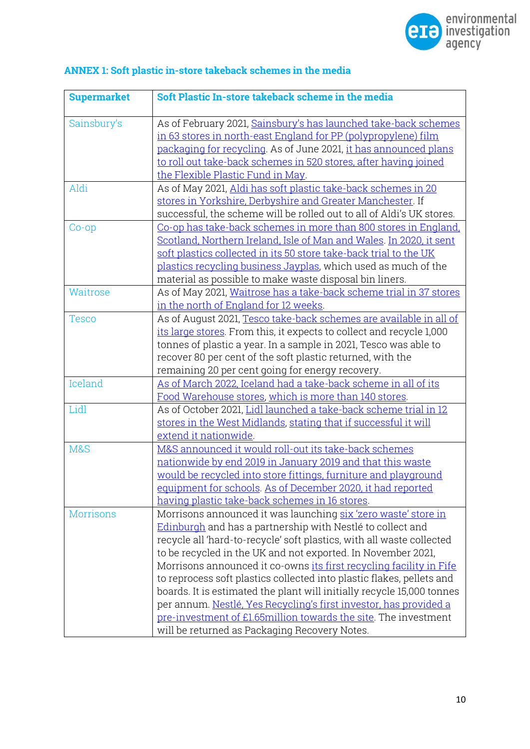

| <b>Supermarket</b> | Soft Plastic In-store takeback scheme in the media                                                                                                                                                                                                                                                                                                                                                                                                                                                                                                                                                                                                                                       |
|--------------------|------------------------------------------------------------------------------------------------------------------------------------------------------------------------------------------------------------------------------------------------------------------------------------------------------------------------------------------------------------------------------------------------------------------------------------------------------------------------------------------------------------------------------------------------------------------------------------------------------------------------------------------------------------------------------------------|
| Sainsbury's        | As of February 2021, Sainsbury's has launched take-back schemes<br>in 63 stores in north-east England for PP (polypropylene) film<br>packaging for recycling. As of June 2021, it has announced plans<br>to roll out take-back schemes in 520 stores, after having joined<br>the Flexible Plastic Fund in May.                                                                                                                                                                                                                                                                                                                                                                           |
| Aldi               | As of May 2021, Aldi has soft plastic take-back schemes in 20<br>stores in Yorkshire, Derbyshire and Greater Manchester. If<br>successful, the scheme will be rolled out to all of Aldi's UK stores.                                                                                                                                                                                                                                                                                                                                                                                                                                                                                     |
| $Co$ - $op$        | Co-op has take-back schemes in more than 800 stores in England.<br>Scotland, Northern Ireland, Isle of Man and Wales. In 2020, it sent<br>soft plastics collected in its 50 store take-back trial to the UK<br>plastics recycling business Jayplas, which used as much of the<br>material as possible to make waste disposal bin liners.                                                                                                                                                                                                                                                                                                                                                 |
| Waitrose           | As of May 2021, Waitrose has a take-back scheme trial in 37 stores<br>in the north of England for 12 weeks.                                                                                                                                                                                                                                                                                                                                                                                                                                                                                                                                                                              |
| <b>Tesco</b>       | As of August 2021, Tesco take-back schemes are available in all of<br>its large stores. From this, it expects to collect and recycle 1,000<br>tonnes of plastic a year. In a sample in 2021, Tesco was able to<br>recover 80 per cent of the soft plastic returned, with the<br>remaining 20 per cent going for energy recovery.                                                                                                                                                                                                                                                                                                                                                         |
| Iceland            | As of March 2022, Iceland had a take-back scheme in all of its<br>Food Warehouse stores, which is more than 140 stores.                                                                                                                                                                                                                                                                                                                                                                                                                                                                                                                                                                  |
| Lidl               | As of October 2021, Lidl launched a take-back scheme trial in 12<br>stores in the West Midlands, stating that if successful it will<br>extend it nationwide.                                                                                                                                                                                                                                                                                                                                                                                                                                                                                                                             |
| M&S                | M&S announced it would roll-out its take-back schemes<br>nationwide by end 2019 in January 2019 and that this waste<br>would be recycled into store fittings, furniture and playground<br>equipment for schools. As of December 2020, it had reported<br>having plastic take-back schemes in 16 stores.                                                                                                                                                                                                                                                                                                                                                                                  |
| <b>Morrisons</b>   | Morrisons announced it was launching six 'zero waste' store in<br>Edinburgh and has a partnership with Nestlé to collect and<br>recycle all 'hard-to-recycle' soft plastics, with all waste collected<br>to be recycled in the UK and not exported. In November 2021,<br>Morrisons announced it co-owns its first recycling facility in Fife<br>to reprocess soft plastics collected into plastic flakes, pellets and<br>boards. It is estimated the plant will initially recycle 15,000 tonnes<br>per annum. Nestlé, Yes Recycling's first investor, has provided a<br>pre-investment of £1.65million towards the site. The investment<br>will be returned as Packaging Recovery Notes. |

# **ANNEX 1: Soft plastic in-store takeback schemes in the media**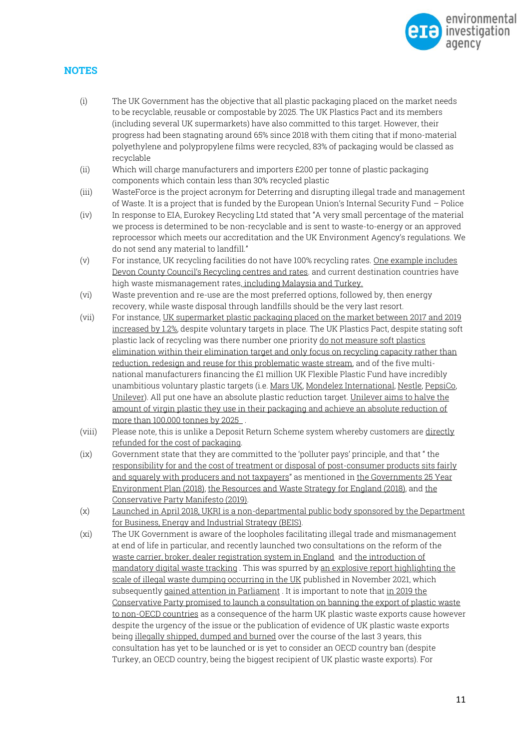

#### **NOTES**

- (i) The UK Government has the objective that all plastic packaging placed on the market needs to be recyclable, reusable or compostable by 2025. The UK Plastics Pact and its members (including several UK supermarkets) have also committed to this target. However, their progress had been stagnating around 65% since 2018 with them citing that if mono-material polyethylene and polypropylene films were recycled, 83% of packaging would be classed as recyclable
- (ii) Which will charge manufacturers and importers £200 per tonne of plastic packaging components which contain less than 30% recycled plastic
- (iii) WasteForce is the project acronym for Deterring and disrupting illegal trade and management of Waste. It is a project that is funded by the European Union's Internal Security Fund – Police
- (iv) In response to EIA, Eurokey Recycling Ltd stated that "A very small percentage of the material we process is determined to be non-recyclable and is sent to waste-to-energy or an approved reprocessor which meets our accreditation and the UK Environment Agency's regulations. We do not send any material to landfill."
- (v) For instance, UK recycling facilities do not have 100% recycling rates. [One example includes](https://www.devon.gov.uk/accesstoinformation/information_request/recycling-centres-and-rates/)  [Devon County Council's Recycling centres and rates](https://www.devon.gov.uk/accesstoinformation/information_request/recycling-centres-and-rates/). and current destination countries have high waste mismanagement rates, [including Malaysia and Turkey.](https://eia-international.org/wp-content/uploads/EIA-The-Truth-Behind-Trash-FINAL.pdf)
- (vi) Waste prevention and re-use are the most preferred options, followed by, then energy recovery, while waste disposal through landfills should be the very last resort.
- (vii) For instance, [UK supermarket plastic packaging placed on the market between 2017 and 2019](https://eia-international.org/wp-content/uploads/Checking-Out-on-Plastics-III.pdf)  [increased](https://eia-international.org/wp-content/uploads/Checking-Out-on-Plastics-III.pdf) by 1.2%, despite voluntary targets in place. The UK Plastics Pact, despite stating soft plastic lack of recycling was there number one priority [do not measure soft plastics](https://wrap.org.uk/sites/default/files/2021-11/The%20UK%20Plastics%20Pact%20Annual%20Report%202020-21.pdf)  [elimination within their elimination target and only focus on recycling capacity rather than](https://wrap.org.uk/sites/default/files/2021-11/The%20UK%20Plastics%20Pact%20Annual%20Report%202020-21.pdf)  [reduction, redesign and reuse for this problematic waste stream,](https://wrap.org.uk/sites/default/files/2021-11/The%20UK%20Plastics%20Pact%20Annual%20Report%202020-21.pdf) and of the five multinational manufacturers financing the £1 million UK Flexible Plastic Fund have incredibly unambitious voluntary plastic targets (i.e[. Mars UK,](https://www.mars.com/sustainability-plan/healthy-planet/sustainable-packaging#:~:text=To%20advance%20towards%20this%20vision,be%20reusable%2C%20recyclable%20or%20compostable.) [Mondelez International,](https://ir.mondelezinternational.com/news-releases/news-release-details/mondelez-international-commits-reduction-virgin-plastic-use) [Nestle,](https://www.nestle.com/ask-nestle/environment/answers/tackling-packaging-waste-plastic-bottles) [PepsiCo,](https://www.pepsico.com/news/story/pepsico-accelerates-plastic-waste-reduction-efforts)  [Unilever\)](https://www.unilever.com/planet-and-society/waste-free-world/rethinking-plastic-packaging/). All put one have an absolute plastic reduction target[. Unilever aims to halve the](https://www.unilever.com/planet-and-society/waste-free-world/rethinking-plastic-packaging/)  [amount of virgin plastic they use in their packaging and achieve an absolute reduction of](https://www.unilever.com/planet-and-society/waste-free-world/rethinking-plastic-packaging/)  [more than 100,000 tonnes by 2025 .](https://www.unilever.com/planet-and-society/waste-free-world/rethinking-plastic-packaging/)
- (viii) Please note, this is unlike a Deposit Return Scheme system whereby customers are [directly](https://www.oecd.org/stories/ocean/deposit-refund-schemes-58baff8c#:~:text=Deposit%20refund%20schemes%20(DRS)%20%2C,returned%20via%20a%20specificallydesigned%20system.)  [refunded for the cost of packaging.](https://www.oecd.org/stories/ocean/deposit-refund-schemes-58baff8c#:~:text=Deposit%20refund%20schemes%20(DRS)%20%2C,returned%20via%20a%20specificallydesigned%20system.)
- (ix) Government state that they are committed to the 'polluter pays' principle, and that " [the](https://www.gov.uk/government/publications/resources-and-waste-strategy-for-england) [responsibility for and the cost of treatment or disposal of post-consumer products sits fairly](https://www.gov.uk/government/publications/resources-and-waste-strategy-for-england)  [and squarely with producers and not taxpayers](https://www.gov.uk/government/publications/resources-and-waste-strategy-for-england)" as mentioned in [the Governments 25 Year](https://assets.publishing.service.gov.uk/government/uploads/system/uploads/attachment_data/file/693158/25-year-environment-plan.pdf)  [Environment Plan \(2018\),](https://assets.publishing.service.gov.uk/government/uploads/system/uploads/attachment_data/file/693158/25-year-environment-plan.pdf) [the Resources and Waste Strategy](https://www.gov.uk/government/publications/resources-and-waste-strategy-for-england) for England (2018), an[d the](https://www.conservatives.com/our-plan/conservative-party-manifesto-2019)  [Conservative Party Manifesto \(2019\).](https://www.conservatives.com/our-plan/conservative-party-manifesto-2019)
- (x) [Launched in April 2018, UKRI is a non-departmental public body sponsored by the Department](https://www.ukri.org/about-us/who-we-are/)  [for Business, Energy and Industrial Strategy \(BEIS\).](https://www.ukri.org/about-us/who-we-are/)
- (xi) The UK Government is aware of the loopholes facilitating illegal trade and mismanagement at end of life in particular, and recently launched two consultations on the reform of the [waste carrier, broker, dealer registration system in England](https://consult.defra.gov.uk/eq-resources-and-waste/consultation-on-cbd-reform/) an[d the introduction of](https://consult.defra.gov.uk/environmental-quality/waste-tracking/)  [mandatory digital waste tracking](https://consult.defra.gov.uk/environmental-quality/waste-tracking/) . This was spurred by [an explosive report highlighting the](https://www.theguardian.com/commentisfree/2021/nov/24/waste-dumping-uk-environment)  [scale of illegal waste dumping occurring in the UK](https://www.theguardian.com/commentisfree/2021/nov/24/waste-dumping-uk-environment) published in November 2021, which subsequentl[y gained attention in Parliament](https://www.theyworkforyou.com/wrans/?id=2022-01-13.103517.h&s=%28Plastics+Biodegradability+OR+plastic+OR+waste+export+OR+waste+OR+recycle+OR+recyclability+OR+whale+OR+marine+OR+deposit+return+scheme+OR+extended+producer+responsibility+OR+circular+economy%29#g103517.q0) . It is important to note tha[t in 2019 the](https://www.conservatives.com/our-plan/conservative-party-manifesto-2019)  [Conservative Party promised to launch a consultation on banning the export of plastic waste](https://www.conservatives.com/our-plan/conservative-party-manifesto-2019)  [to non-OECD countries](https://www.conservatives.com/our-plan/conservative-party-manifesto-2019) as a consequence of the harm UK plastic waste exports cause however despite the urgency of the issue or the publication of evidence of UK plastic waste exports bein[g illegally shipped, dumped and burned](https://deframedia.blog.gov.uk/2020/06/26/bbc-investigates-plastic-waste-exports-to-turkey/) over the course of the last 3 years, this consultation has yet to be launched or is yet to consider an OECD country ban (despite Turkey, an OECD country, being the biggest recipient of UK plastic waste exports). For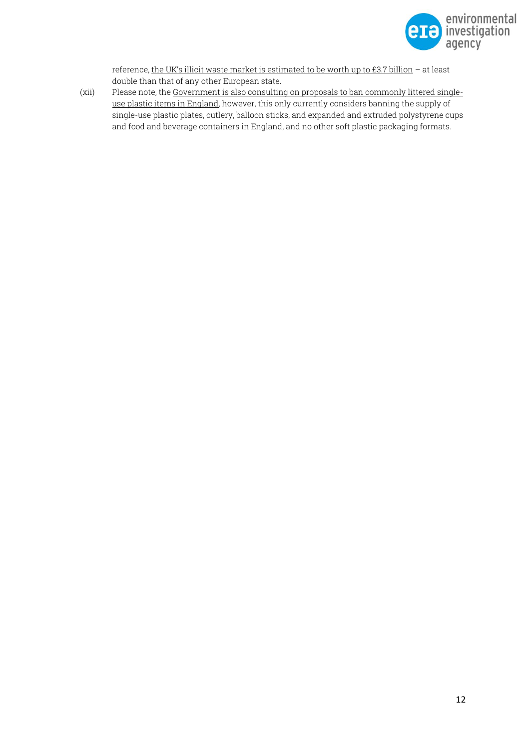

reference, [the UK's illicit waste market is estimated to be worth up to £3.7 billion](https://op.europa.eu/en/publication-detail/-/publication/ab3534a2-87a0-11eb-ac4c-01aa75ed71a1/language-en) – at least double than that of any other European state.

(xii) Please note, th[e Government is also consulting on proposals to ban commonly littered single](https://consult.defra.gov.uk/environmental-quality/consultation-on-proposals-to-ban-commonly-littered/supporting_documents/Consultation%20document.pdf)[use plastic items in England,](https://consult.defra.gov.uk/environmental-quality/consultation-on-proposals-to-ban-commonly-littered/supporting_documents/Consultation%20document.pdf) however, this only currently considers banning the supply of single-use plastic plates, cutlery, balloon sticks, and expanded and extruded polystyrene cups and food and beverage containers in England, and no other soft plastic packaging formats.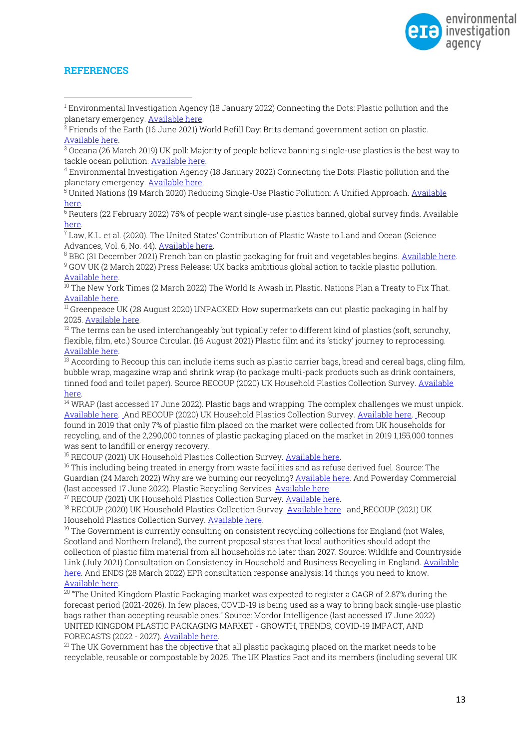

#### **REFERENCES**

<sup>1</sup> Environmental Investigation Agency (18 January 2022) Connecting the Dots: Plastic pollution and the planetary emergency[. Available here.](https://eia-international.org/report/connecting-the-dots-plastic-pollution-and-the-planetary-emergency/)

<sup>6</sup> Reuters (22 February 2022) 75% of people want single-use plastics banned, global survey finds. Available [here.](https://www.reuters.com/business/environment/75-people-want-single-use-plastics-banned-global-survey-finds-2022-02-22/)

 $\frac{7}{7}$ Law. K.L. et al. (2020). The United States' Contribution of Plastic Waste to Land and Ocean (Science Advances, Vol. 6, No. 44)[. Available here.](https://www.science.org/doi/10.1126/sciadv.abd0288)

<sup>8</sup> BBC (31 December 2021) French ban on plastic packaging for fruit and vegetables begins[. Available here.](https://www.bbc.co.uk/news/world-europe-59843697) <sup>9</sup> GOV UK (2 March 2022) Press Release: UK backs ambitious global action to tackle plastic pollution. [Available here.](https://www.gov.uk/government/news/uk-backs-ambitious-global-action-to-tackle-plastic-pollution#:~:text=The%20UK%20provided%20support%20to,the%20United%20Nations%20Environment%20Assembly.&text=It%20is%20hoped%20a%20new,help%20tackle%20marine%20plastic%20pollution.)

 $10$  The New York Times (2 March 2022) The World Is Awash in Plastic. Nations Plan a Treaty to Fix That. [Available here.](https://wedocs.unep.org/bitstream/handle/20.500.11822/38522/k2200647_-_unep-ea-5-l-23-rev-1_-_advance.pdf?sequence=1&isAllowed=y)

 $\overline{11}$  Greenpeace UK (28 August 2020) UNPACKED: How supermarkets can cut plastic packaging in half by 2025. [Available here.](https://www.greenpeace.org.uk/wp-content/uploads/2020/08/Greenpeace_Unpacked_Report.pdf)

 $12$  The terms can be used interchangeably but typically refer to different kind of plastics (soft, scrunchy, flexible, film, etc.) Source Circular. (16 August 2021) Plastic film and its 'sticky' journey to reprocessing. [Available here.](https://www.circularonline.co.uk/features/plastic-film-and-its-sticky-journey-to-reprocessing/)

<sup>13</sup> According to Recoup this can include items such as plastic carrier bags, bread and cereal bags, cling film, bubble wrap, magazine wrap and shrink wrap (to package multi-pack products such as drink containers, tinned food and toilet paper). Source RECOUP (2020) UK Household Plastics Collection Survey. Available [here.](https://www.recoup.org/p/380/uk-household-plastics-collection-survey-2020)

<sup>14</sup> WRAP (last accessed 17 June 2022). Plastic bags and wrapping: The complex challenges we must unpick. [Available here.](https://wrap.org.uk/taking-action/plastic-packaging/Key-Resources/plastic-bags-and-wrapping) And RECOUP (2020) UK Household Plastics Collection Survey[. Available here.](https://www.recoup.org/p/380/uk-household-plastics-collection-survey-2020) Recoup found in 2019 that only 7% of plastic film placed on the market were collected from UK households for recycling, and of the 2,290,000 tonnes of plastic packaging placed on the market in 2019 1,155,000 tonnes was sent to landfill or energy recovery.

<sup>15</sup> RECOUP (2021) UK Household Plastics Collection Survey. Available here.

 $16$  This including being treated in energy from waste facilities and as refuse derived fuel. Source: The Guardian (24 March 2022) Why are we burning our recycling? [Available here.](https://www.theguardian.com/environment/video/2022/mar/24/why-are-we-burning-our-recycling-video) And Powerday Commercial (last accessed 17 June 2022). Plastic Recycling Services. [Available here.](https://powerday.co.uk/material-recycling-facilities/plastic-recycling/)

<sup>17</sup> RECOUP (2021) UK Household Plastics Collection Survey. [Available here.](https://www.recoup.org/p/173/recoup-reports)

<sup>18</sup> RECOUP (2020) UK Household Plastics Collection Survey[. Available here.](https://www.recoup.org/p/380/uk-household-plastics-collection-survey-2020) and RECOUP (2021) UK Household Plastics Collection Survey[. Available here.](https://www.recoup.org/p/173/recoup-reports)

<sup>19</sup> The Government is currently consulting on consistent recycling collections for England (not Wales, Scotland and Northern Ireland), the current proposal states that local authorities should adopt the collection of plastic film material from all households no later than 2027. Source: Wildlife and Countryside Link (July 2021) Consultation on Consistency in Household and Business Recycling in England. [Available](https://www.wcl.org.uk/docs/assets/uploads/WCL_Consistent_Collections_Consultation_1.pdf)  [here.](https://www.wcl.org.uk/docs/assets/uploads/WCL_Consistent_Collections_Consultation_1.pdf) And ENDS (28 March 2022) EPR consultation response analysis: 14 things you need to know. [Available here.](https://www.endsreport.com/article/1751077/epr-consultation-response-analysis-14-things-need-know)

 $20$  "The United Kingdom Plastic Packaging market was expected to register a CAGR of 2.87% during the forecast period (2021-2026). In few places, COVID-19 is being used as a way to bring back single-use plastic bags rather than accepting reusable ones." Source: Mordor Intelligence (last accessed 17 June 2022) UNITED KINGDOM PLASTIC PACKAGING MARKET - GROWTH, TRENDS, COVID-19 IMPACT, AND FORECASTS (2022 - 2027). [Available here.](https://www.mordorintelligence.com/industry-reports/united-kingdom-plastic-packaging-market#:~:text=Market%20Overview,rather%20than%20accepting%20reusable%20ones.) 

 $21$  The UK Government has the objective that all plastic packaging placed on the market needs to be recyclable, reusable or compostable by 2025. The UK Plastics Pact and its members (including several UK

<sup>&</sup>lt;sup>2</sup> Friends of the Earth (16 June 2021) World Refill Day: Brits demand government action on plastic. [Available here.](https://friendsoftheearth.uk/sustainable-living/world-refill-day-brits-demand-government-action-plastic)

<sup>3</sup> Oceana (26 March 2019) UK poll: Majority of people believe banning single-use plastics is the best way to tackle ocean pollution. [Available here.](https://europe.oceana.org/en/press-center/press-releases/uk-poll-majority-people-believe-banning-single-use-plastics-best-way#_ftn1) 

<sup>4</sup> Environmental Investigation Agency (18 January 2022) Connecting the Dots: Plastic pollution and the planetary emergency[. Available here.](https://eia-international.org/report/connecting-the-dots-plastic-pollution-and-the-planetary-emergency/)

<sup>5</sup> United Nations (19 March 2020) Reducing Single-Use Plastic Pollution: A Unified Approach[. Available](https://www.un.org/en/un-chronicle/reducing-single-use-plastic-pollution-unified-approach)  [here.](https://www.un.org/en/un-chronicle/reducing-single-use-plastic-pollution-unified-approach)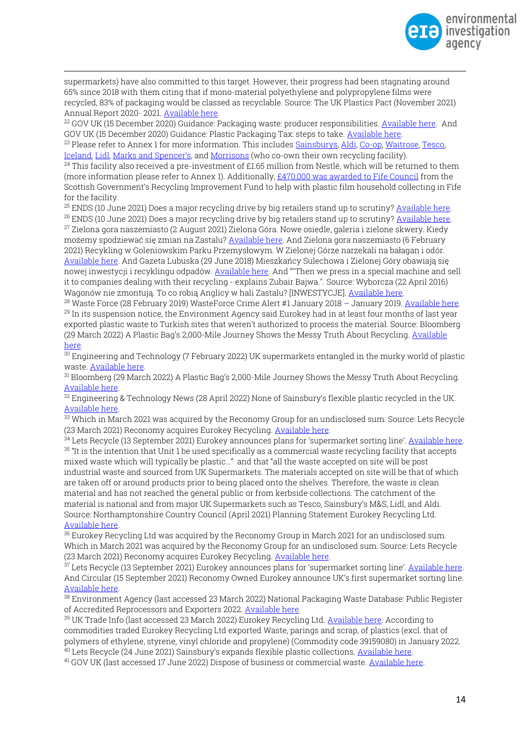

supermarkets) have also committed to this target. However, their progress had been stagnating around 65% since 2018 with them citing that if mono-material polyethylene and polypropylene films were recycled, 83% of packaging would be classed as recyclable. Source: The UK Plastics Pact (November 2021) Annual Report 2020- 2021. [Available here.](https://wrap.org.uk/sites/default/files/2021-11/The%20UK%20Plastics%20Pact%20Annual%20Report%202020-21.pdf)

<sup>22</sup> GOV UK (15 December 2020) Guidance: Packaging waste: producer responsibilities. [Available here.](https://www.gov.uk/guidance/packaging-producer-responsibilities) And GOV UK (15 December 2020) Guidance: Plastic Packaging Tax: steps to take. [Available here.](https://www.gov.uk/guidance/check-if-you-need-to-register-for-plastic-packaging-tax#:~:text=The%20tax%20will%20come%20into,in%20the%20next%2030%20days.) 

<sup>23</sup> Please refer to Annex 1 for more information. This includes [Sainsburys,](https://www.about.sainsburys.co.uk/sustainability/plan-for-better/our-stories/2021/flexible-plastics) [Aldi,](https://www.aldipresscentre.co.uk/business-news/aldi-launches-soft-plastic-collection-trial/) [Co-op,](https://www.coop.co.uk/environment/soft-plastics/packaging-list) [Waitrose,](https://www.johnlewispartnership.co.uk/media/press/y2021/bringing-flexi-back.html) Tesco, [Iceland,](http://sustainability.iceland.co.uk/news/instore-plastic-recycling/) [Lidl,](https://corporate.lidl.co.uk/media-centre/pressreleases/2021/compostable-f-v-bags-and-soft-plastics-trial#:~:text=Customers%20will%20be%20able%20to,sacks%20and%20rigid%20construction%20products.) [Marks and Spencer's](https://corporate.marksandspencer.com/plastic-recycling-scheme), and [Morrisons](https://www.morrisons-corporate.com/media-centre/corporate-news/morrisons-to-co-own-world-leading-soft-plastic-recycling-site-in-uk/) (who co-own their own recycling facility).

 $^{24}$  This facility also received a pre-investment of £1.65 million from Nestlé, which will be returned to them (more information please refer to Annex 1). Additionally[, £470,000 was awarded to Fife Council](https://www.fife.gov.uk/news/2021/first-for-fife-as-scottish-government-funding-improves-plastics-recycling) from the Scottish Government's Recycling Improvement Fund to help with plastic film household collecting in Fife for the facility.

<sup>25</sup> ENDS (10 June 2021) Does a major recycling drive by big retailers stand up to scrutiny? [Available here.](https://www.endsreport.com/article/1718854/does-major-recycling-drive-big-retailers-stand-scrutiny)

<sup>26</sup> ENDS (10 June 2021) Does a major recycling drive by big retailers stand up to scrutiny[? Available here.](https://www.endsreport.com/article/1718854/does-major-recycling-drive-big-retailers-stand-scrutiny)  $^{27}$  Zielona gora naszemiasto (2 August 2021) Zielona Góra. Nowe osiedle, galeria i zielone skwery. Kiedy możemy spodziewać się zmian na Zastalu? [Available here.](https://zielonagora.naszemiasto.pl/zielona-gora-nowe-osiedle-galeria-i-zielone-skwery-kiedy/ar/c1-8393475) And Zielona gora naszemiasto (6 February 2021) Recykling w Goleniowskim Parku Przemysłowym. W Zielonej Górze narzekali na bałagan i odór. [Available here](https://goleniow.naszemiasto.pl/recykling-w-goleniowskim-parku-przemyslowym-w-zielonej/ar/c1-8124821). And Gazeta Lubuska (29 June 2018) Mieszkańcy Sulechowa i Zielonej Góry obawiają się nowej inwestycji i recyklingu odpadów. [Available here](https://gazetalubuska.pl/mieszkancy-sulechowa-i-zielonej-gory-obawiaja-sie-nowej-inwestycji-i-recyklingu-odpadow/ar/c3-13300223). And ""Then we press in a special machine and sell it to companies dealing with their recycling - explains Zubair Bajwa.". Source: Wyborcza (22 April 2016) Wagonów nie zmontują. To co robią Anglicy w hali Zastalu? [INWESTYCJE]. [Available here.](https://zielonagora.wyborcza.pl/zielonagora/7,90220,19956859,wagonow-nie-zmontuja-to-co-robia-anglicy-w-hali-zastalu-inwestycje.html?disableRedirects=true%20and%20https://www.zielonanews.pl/skladowisko-odpadow-w-centrum-co-miasto-na-to-wideo-34378/&disableRedirects=true)

<sup>28</sup> Waste Force (28 February 2019) WasteForce Crime Alert #1 January 2018 - January 2019[. Available here.](https://wasteforceproject.eu/wp-content/uploads/2019/02/WasteForce-Waste-Crime-Alert-1.pdf) <sup>29</sup> In its suspension notice, the Environment Agency said Eurokey had in at least four months of last year exported plastic waste to Turkish sites that weren't authorized to process the material. Source: Bloomberg (29 March 2022) A Plastic Bag's 2,000-Mile Journey Shows the Messy Truth About Recycling. [Available](https://www.bloomberg.com/graphics/2022-tesco-recycle-plastic-waste-pledge-falls-short/)  [here.](https://www.bloomberg.com/graphics/2022-tesco-recycle-plastic-waste-pledge-falls-short/)

<sup>30</sup> Engineering and Technology (7 February 2022) UK supermarkets entangled in the murky world of plastic waste[. Available here.](https://eandt.theiet.org/content/articles/2022/02/uk-supermarkets-entangled-in-the-murky-world-of-plastic-waste/)

<sup>31</sup> Bloomberg (29 March 2022) A Plastic Bag's 2,000-Mile Journey Shows the Messy Truth About Recycling. [Available here.](https://www.bloomberg.com/graphics/2022-tesco-recycle-plastic-waste-pledge-falls-short/) 

<sup>32</sup> Engineering & Technology News (28 April 2022) None of Sainsbury's flexible plastic recycled in the UK. [Available here.](https://eandt.theiet.org/content/articles/2022/04/none-of-sainsbury-s-flexible-plastic-recycled-in-the-uk/) 

<sup>33</sup> Which in March 2021 was acquired by the Reconomy Group for an undisclosed sum. Source: Lets Recycle (23 March 2021) Reconomy acquires Eurokey Recycling. [Available here.](https://www.letsrecycle.com/news/reconomy-acquires-eurokey-recycling/)

<sup>34</sup> Lets Recycle (13 September 2021) Eurokey announces plans for 'supermarket sorting line'. Available here.  $35$  "It is the intention that Unit 1 be used specifically as a commercial waste recycling facility that accepts

mixed waste which will typically be plastic…" and that "all the waste accepted on site will be post industrial waste and sourced from UK Supermarkets. The materials accepted on site will be that of which are taken off or around products prior to being placed onto the shelves. Therefore, the waste is clean material and has not reached the general public or from kerbside collections. The catchment of the material is national and from major UK Supermarkets such as Tesco, Sainsbury's M&S, Lidl, and Aldi. Source: Northamptonshire Country Council (April 2021) Planning Statement Eurokey Recycling Ltd. [Available here.](https://www.northamptonshire.gov.uk/councilservices/environment-and-planning/planning/planning-applications/previous-planning-decisions/minerals-and-waste-decisions/Documents/kettering/NN.21.00021.WASFUL%20-%20Planning%20Statement.pdf)

<sup>36</sup> Eurokey Recycling Ltd was acquired by the Reconomy Group in March 2021 for an undisclosed sum. Which in March 2021 was acquired by the Reconomy Group for an undisclosed sum. Source: Lets Recycle (23 March 2021) Reconomy acquires Eurokey Recycling. [Available here.](https://www.letsrecycle.com/news/reconomy-acquires-eurokey-recycling/) 

<sup>37</sup> Lets Recycle (13 September 2021) Eurokey announces plans for 'supermarket sorting line'. [Available here.](https://www.letsrecycle.com/news/eurokey-announces-plans-for-supermarket-sorting-line/#:~:text=Plastics%20recycling%20company%20Eurokey%20today,line)  And Circular (15 September 2021) Reconomy Owned Eurokey announce UK's first supermarket sorting line. [Available here.](https://www.circularonline.co.uk/news/reconomy-owned-eurokey-announce-uks-first-supermarket-sorting-line/) 

<sup>38</sup> Environment Agency (last accessed 23 March 2022) National Packaging Waste Database: Public Register of Accredited Reprocessors and Exporters 2022. [Available here.](https://npwd.environment-agency.gov.uk/PublicRegister.aspx?ReturnUrl=%2FPackagingPublicRegisterLinks.aspx%3FReturnUrl%3D%252fdefault.aspx)

<sup>39</sup> UK Trade Info (last accessed 23 March 2022) Eurokey Recycling Ltd. [Available here.](https://www.uktradeinfo.com/traders/eurokey-recycling-limited-248278?senderQueryString=q%3D3915%26t%3Dcommodity-code) According to commodities traded Eurokey Recycling Ltd exported Waste, parings and scrap, of plastics (excl. that of polymers of ethylene, styrene, vinyl chloride and propylene) (Commodity code 39159080) in January 2022. <sup>40</sup> Lets Recycle (24 June 2021) Sainsbury's expands flexible plastic collections. [Available here.](https://www.letsrecycle.com/news/sainsburys-expands-flexible-plastic-collections/) 

<sup>41</sup> GOV UK (last accessed 17 June 2022) Dispose of business or commercial waste[. Available here.](https://www.gov.uk/managing-your-waste-an-overview)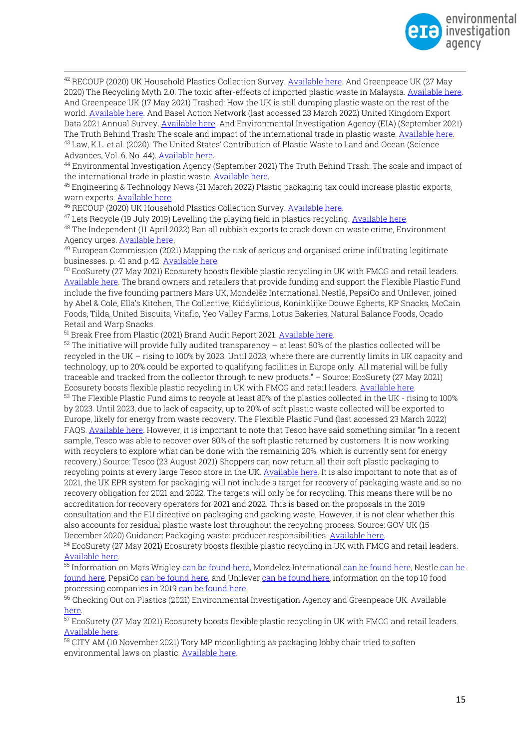

<sup>42</sup> RECOUP (2020) UK Household Plastics Collection Survey[. Available here.](https://www.recoup.org/p/380/uk-household-plastics-collection-survey-2020) And Greenpeace UK (27 May 2020) The Recycling Myth 2.0: The toxic after-effects of imported plastic waste in Malaysia. Available here. And Greenpeace UK (17 May 2021) Trashed: How the UK is still dumping plastic waste on the rest of the world[. Available here.](https://www.greenpeace.org.uk/wp-content/uploads/2021/05/Trashed-Greenpeace-plastics-report-final.pdf?_ga=2.236481411.322028826.1648241970-1468218449.1648241970) And Basel Action Network (last accessed 23 March 2022) United Kingdom Export Data 2021 Annual Survey[. Available here.](https://www.ban.org/plastic-waste-project-hub/trade-data/uk-export-data-2021-annual-summary) And Environmental Investigation Agency (EIA) (September 2021) The Truth Behind Trash: The scale and impact of the international trade in plastic waste[. Available here.](https://eia-international.org/wp-content/uploads/EIA-The-Truth-Behind-Trash-FINAL.pdf) <sup>43</sup> Law, K.L. et al. (2020). The United States' Contribution of Plastic Waste to Land and Ocean (Science Advances, Vol. 6, No. 44)[. Available here.](https://www.science.org/doi/10.1126/sciadv.abd0288)

<sup>44</sup> Environmental Investigation Agency (September 2021) The Truth Behind Trash: The scale and impact of the international trade in plastic waste[. Available here.](https://eia-international.org/wp-content/uploads/EIA-The-Truth-Behind-Trash-FINAL.pdf)

<sup>45</sup> Engineering & Technology News (31 March 2022) Plastic packaging tax could increase plastic exports, warn experts. [Available here.](https://eandt.theiet.org/content/articles/2022/03/plastic-packaging-tax-could-increase-plastic-exports-warn-experts/)

<sup>46</sup> RECOUP (2020) UK Household Plastics Collection Survey[. Available here.](https://www.recoup.org/p/380/uk-household-plastics-collection-survey-2020)

<sup>47</sup> Lets Recycle (19 July 2019) Levelling the playing field in plastics recycling[. Available here.](https://www.letsrecycle.com/news/levelling-the-playing-field-in-plastics-recycling/)

<sup>48</sup> The Independent (11 April 2022) Ban all rubbish exports to crack down on waste crime, Environment Agency urges. [Available here.](https://www.independent.co.uk/climate-change/news/environment-agency-environmental-services-association-evidence-one-government-b2055992.html?utm_content=Echobox&utm_medium=Social&utm_campaign=Main&utm_source=Twitter#Echobox=1649738952) 

 $49$  European Commission (2021) Mapping the risk of serious and organised crime infiltrating legitimate businesses. p. 41 and p.42[. Available here.](https://op.europa.eu/en/publication-detail/-/publication/ab3534a2-87a0-11eb-ac4c-01aa75ed71a1/language-en)

<sup>50</sup> EcoSurety (27 May 2021) Ecosurety boosts flexible plastic recycling in UK with FMCG and retail leaders. [Available here.](https://www.ecosurety.com/news/ecosurety-boosts-flexible-plastic-recycling-in-uk-with-fmcg-and-retail-leaders/) The brand owners and retailers that provide funding and support the Flexible Plastic Fund include the five founding partners Mars UK, Mondelēz International, Nestlé, PepsiCo and Unilever, joined by Abel & Cole, Ella's Kitchen, The Collective, Kiddylicious, Koninklijke Douwe Egberts, KP Snacks, McCain Foods, Tilda, United Biscuits, Vitaflo, Yeo Valley Farms, Lotus Bakeries, Natural Balance Foods, Ocado Retail and Warp Snacks.

<sup>51</sup> Break Free from Plastic (2021) Brand Audit Report 2021[. Available here.](https://www.breakfreefromplastic.org/wp-content/uploads/2021/10/BRAND-AUDIT-REPORT-2021.pdf)

 $52$  The initiative will provide fully audited transparency – at least 80% of the plastics collected will be recycled in the UK – rising to 100% by 2023. Until 2023, where there are currently limits in UK capacity and technology, up to 20% could be exported to qualifying facilities in Europe only. All material will be fully traceable and tracked from the collector through to new products." – Source: EcoSurety (27 May 2021) Ecosurety boosts flexible plastic recycling in UK with FMCG and retail leaders[. Available here.](https://www.ecosurety.com/news/ecosurety-boosts-flexible-plastic-recycling-in-uk-with-fmcg-and-retail-leaders/)

<sup>53</sup> The Flexible Plastic Fund aims to recycle at least 80% of the plastics collected in the UK - rising to 100% by 2023. Until 2023, due to lack of capacity, up to 20% of soft plastic waste collected will be exported to Europe, likely for energy from waste recovery. The Flexible Plastic Fund (last accessed 23 March 2022) FAQS. [Available here](https://flexibleplasticfund.org.uk/faqs). However, it is important to note that Tesco have said something similar "In a recent sample, Tesco was able to recover over 80% of the soft plastic returned by customers. It is now working with recyclers to explore what can be done with the remaining 20%, which is currently sent for energy recovery.) Source: Tesco (23 August 2021) Shoppers can now return all their soft plastic packaging to recycling points at every large Tesco store in the UK. [Available here.](https://www.tescoplc.com/news/2021/shoppers-can-now-return-all-their-soft-plastic-packaging-to-recycling-points-at-every-large-tesco-store-in-the-uk/) It is also important to note that as of 2021, the UK EPR system for packaging will not include a target for recovery of packaging waste and so no recovery obligation for 2021 and 2022. The targets will only be for recycling. This means there will be no accreditation for recovery operators for 2021 and 2022. This is based on the proposals in the 2019 consultation and the EU directive on packaging and packing waste. However, it is not clear whether this also accounts for residual plastic waste lost throughout the recycling process. Source: GOV UK (15 December 2020) Guidance: Packaging waste: producer responsibilities[. Available here.](https://www.gov.uk/guidance/packaging-producer-responsibilities) 

<sup>54</sup> EcoSurety (27 May 2021) Ecosurety boosts flexible plastic recycling in UK with FMCG and retail leaders. [Available here.](https://www.ecosurety.com/news/ecosurety-boosts-flexible-plastic-recycling-in-uk-with-fmcg-and-retail-leaders/)

55 Information on Mars Wrigley [can be found here,](https://ir.mondelezinternational.com/news-releases/news-release-details/mondelez-international-reports-q4-and-fy-2020-results) Mondelez International can be found here, Nestle can be [found here,](https://www.nestle.com/media/pressreleases/allpressreleases/full-year-results-2020) PepsiCo [can be found here,](https://investors.pepsico.com/docs/album/investors/q4-2020/q4-2020-earnings-release_C9uxzuRWkKxGTC8v.pdf) and Unileve[r can be found here,](https://www.unilever.com/investors/annual-report-and-accounts/) information on the top 10 food processing companies in 2019 [can be found here.](https://www.foodprocessing-technology.com/features/top-ten-food-companies-in-2020/)

<sup>56</sup> Checking Out on Plastics (2021) Environmental Investigation Agency and Greenpeace UK. Available [here.](http://www.checkingoutonplastics.org/)

 $\overline{57}$  EcoSurety (27 May 2021) Ecosurety boosts flexible plastic recycling in UK with FMCG and retail leaders. [Available here.](https://www.ecosurety.com/news/ecosurety-boosts-flexible-plastic-recycling-in-uk-with-fmcg-and-retail-leaders/)

 $58$  CITY AM (10 November 2021) Tory MP moonlighting as packaging lobby chair tried to soften environmental laws on plastic[. Available here.](https://www.cityam.com/tory-mp-moonlighting-as-packaging-lobby-chair-tried-to-soften-environmental-laws-on-plastic/?utm_source=POLITICO.EU&utm_campaign=021166cb4c-EMAIL_CAMPAIGN_2021_11_15_07_01&utm_medium=email&utm_term=0_10959edeb5-021166cb4c-190695456)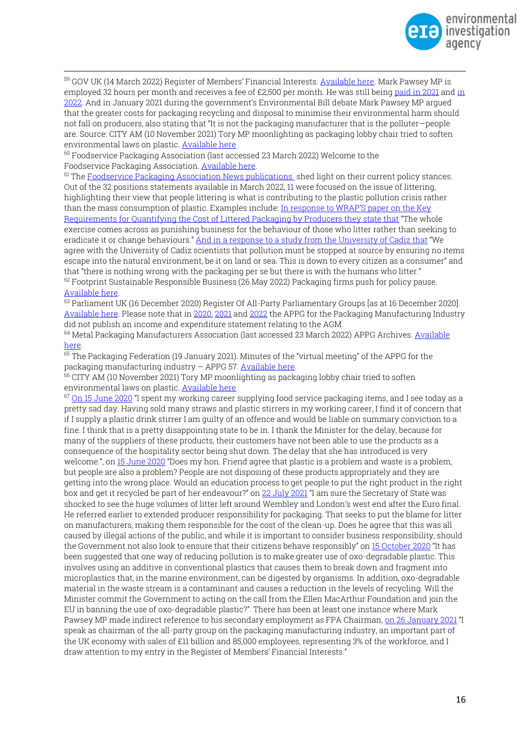

<sup>59</sup> GOV UK (14 March 2022) Register of Members' Financial Interests[. Available here.](https://publications.parliament.uk/pa/cm/cmregmem/220314/220314.pdf) Mark Pawsey MP is employed 32 hours per month and receives a fee of £2,500 per month. He was still bein[g paid in 2021](https://publications.parliament.uk/pa/cm/cmregmem/210426/210426.pdf) and in [2022.](https://publications.parliament.uk/pa/cm/cmregmem/220328/220328.pdf) And in January 2021 during the government's Environmental Bill debate Mark Pawsey MP argued that the greater costs for packaging recycling and disposal to minimise their environmental harm should not fall on producers, also stating that "It is not the packaging manufacturer that is the polluter—people are. Source: CITY AM (10 November 2021) Tory MP moonlighting as packaging lobby chair tried to soften environmental laws on plastic[. Available here](https://www.cityam.com/tory-mp-moonlighting-as-packaging-lobby-chair-tried-to-soften-environmental-laws-on-plastic/?utm_source=POLITICO.EU&utm_campaign=021166cb4c-EMAIL_CAMPAIGN_2021_11_15_07_01&utm_medium=email&utm_term=0_10959edeb5-021166cb4c-190695456)

<sup>60</sup> Foodservice Packaging Association (last accessed 23 March 2022) Welcome to the Foodservice Packaging Association[. Available here.](https://www.foodservicepackaging.org.uk/)

<sup>61</sup> Th[e Foodservice Packaging Association News publications](https://www.foodservicepackaging.org.uk/news/) shed light on their current policy stances. Out of the 32 positions statements available in March 2022, 11 were focused on the issue of littering, highlighting their view that people littering is what is contributing to the plastic pollution crisis rather than the mass consumption of plastic. Examples include: [In response to WRAP'S paper on the Key](https://www.foodservicepackaging.org.uk/news/payingforlitter/)  [Requirements for Quantifying the Cost of Littered Packaging by Producers they state that](https://www.foodservicepackaging.org.uk/news/payingforlitter/) "The whole exercise comes across as punishing business for the behaviour of those who litter rather than seeking to eradicate it or change behaviours." [And in a response to a study from the University of Cadiz that](https://www.foodservicepackaging.org.uk/news/packaging-news-statement-university-of-cadiz/) "We agree with the University of Cadiz scientists that pollution must be stopped at source by ensuring no items escape into the natural environment, be it on land or sea. This is down to every citizen as a consumer" and that "there is nothing wrong with the packaging per se but there is with the humans who litter."  $62$  Footprint Sustainable Responsible Business (26 May 2022) Packaging firms push for policy pause. [Available here.](https://www.foodservicefootprint.com/packaging-firms-push-for-policy-pause/) 

63 Parliament UK (16 December 2020) Register Of All-Party Parliamentary Groups [as at 16 December 2020]. [Available here.](https://publications.parliament.uk/pa/cm/cmallparty/201216/packaging-manufacturing-industry.htm) Please note that in [2020,](https://publications.parliament.uk/pa/cm/cmallparty/201216/packaging-manufacturing-industry.htm) [2021](https://publications.parliament.uk/pa/cm/cmallparty/211229/packaging-manufacturing-industry.htm) an[d 2022](https://publications.parliament.uk/pa/cm/cmallparty/220323/packaging-manufacturing-industry.htm) the APPG for the Packaging Manufacturing Industry did not publish an income and expenditure statement relating to the AGM.

<sup>64</sup> Metal Packaging Manufacturers Association (last accessed 23 March 2022) APPG Archives. Available [here.](https://www.mpma.org.uk/category/uk-government/appg/)

<sup>65</sup> The Packaging Federation (19 January 2021). Minutes of the "virtual meeting" of the APPG for the packaging manufacturing industry – APPG 57[. Available here.](https://www.mpma.org.uk/wp-content/uploads/Minutes-of-APPG-57-19.01.21.pdf)

 $66$  CITY AM (10 November 2021) Tory MP moonlighting as packaging lobby chair tried to soften environmental laws on plastic[. Available here](https://www.cityam.com/tory-mp-moonlighting-as-packaging-lobby-chair-tried-to-soften-environmental-laws-on-plastic/?utm_source=POLITICO.EU&utm_campaign=021166cb4c-EMAIL_CAMPAIGN_2021_11_15_07_01&utm_medium=email&utm_term=0_10959edeb5-021166cb4c-190695456)

<sup>67</sup> [On 15 June 2020](https://hansard.parliament.uk/Commons/2020-06-15/debates/46EE457C-1AF2-467A-8BF5-D1B9B24F7527/EnvironmentalProtection?highlight=packaging#contribution-C9E82CD3-186F-4B13-B986-6D66190D5BEE) "I spent my working career supplying food service packaging items, and I see today as a pretty sad day. Having sold many straws and plastic stirrers in my working career, I find it of concern that if I supply a plastic drink stirrer I am guilty of an offence and would be liable on summary conviction to a fine. I think that is a pretty disappointing state to be in. I thank the Minister for the delay, because for many of the suppliers of these products, their customers have not been able to use the products as a consequence of the hospitality sector being shut down. The delay that she has introduced is very welcome.", on [15 June 2020](https://hansard.parliament.uk/Commons/2020-06-15/debates/46EE457C-1AF2-467A-8BF5-D1B9B24F7527/EnvironmentalProtection?highlight=plastic#contribution-5CFD5434-9D12-44EF-BBE1-FE1F4754DCAA) "Does my hon. Friend agree that plastic is a problem and waste is a problem, but people are also a problem? People are not disposing of these products appropriately and they are getting into the wrong place. Would an education process to get people to put the right product in the right box and get it recycled be part of her endeavour?" on [22 July 2021](https://hansard.parliament.uk/Commons/2021-07-22/debates/AD44ACF8-B25A-4E0B-BCD9-D38819F052D7/TopicalQuestions?highlight=packaging#contribution-1820094F-24F7-4BFB-8088-B9BD26C50CD9) "I am sure the Secretary of State was shocked to see the huge volumes of litter left around Wembley and London's west end after the Euro final. He referred earlier to extended producer responsibility for packaging. That seeks to put the blame for litter on manufacturers, making them responsible for the cost of the clean-up. Does he agree that this was all caused by illegal actions of the public, and while it is important to consider business responsibility, should the Government not also look to ensure that their citizens behave responsibly" on [15 October 2020](https://hansard.parliament.uk/Commons/2020-10-15/debates/86BBFB3A-E216-4CDC-9572-C5DA8DFCE5C1/PlasticPollution?highlight=plastic#contribution-A97D6C83-9BF0-4C8E-84EC-68B4BDAB20D9) "It has been suggested that one way of reducing pollution is to make greater use of oxo-degradable plastic. This involves using an additive in conventional plastics that causes them to break down and fragment into microplastics that, in the marine environment, can be digested by organisms. In addition, oxo-degradable material in the waste stream is a contaminant and causes a reduction in the levels of recycling. Will the Minister commit the Government to acting on the call from the Ellen MacArthur Foundation and join the EU in banning the use of oxo-degradable plastic?". There has been at least one instance where Mark Pawsey MP made indirect reference to his secondary employment as FPA Chairman[, on 26 January 2021](https://hansard.parliament.uk/Commons/2021-01-26/debates/20CFA026-8E78-4D84-82E4-B4236D826AA4/EnvironmentBill?highlight=plastic#contribution-D2459005-7212-49BF-A087-43C4F1AFD90F) "I speak as chairman of the all-party group on the packaging manufacturing industry, an important part of the UK economy with sales of £11 billion and 85,000 employees, representing 3% of the workforce, and I draw attention to my entry in the Register of Members' Financial Interests."